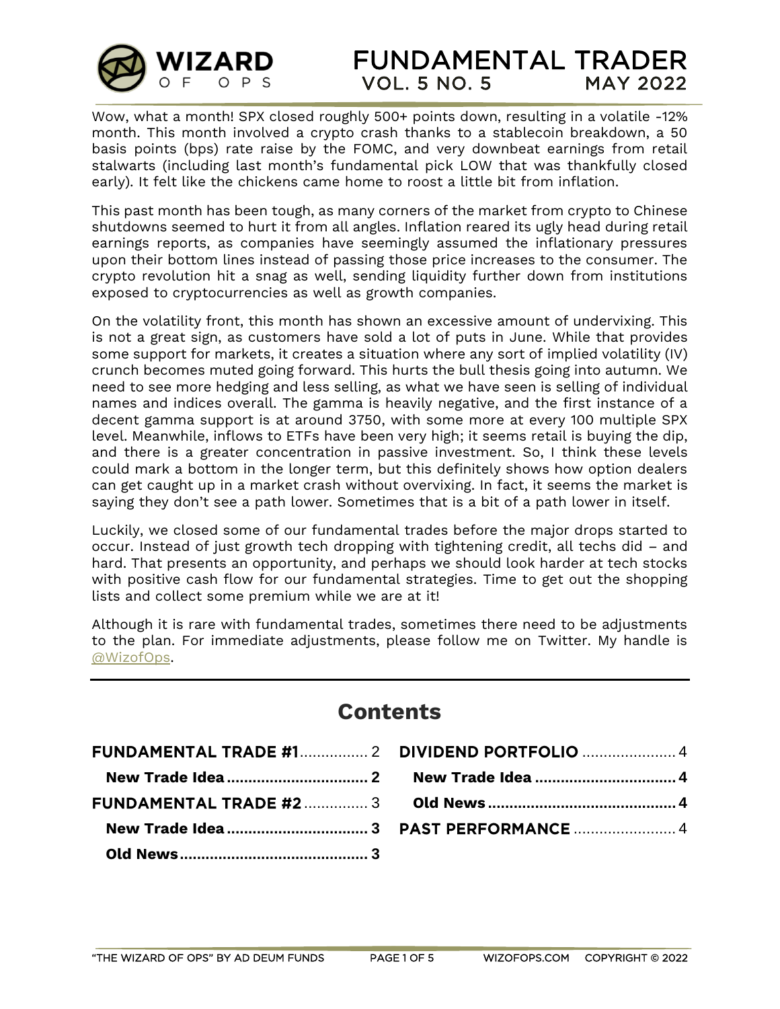

Wow, what a month! SPX closed roughly 500+ points down, resulting in a volatile -12% month. This month involved a crypto crash thanks to a stablecoin breakdown, a 50 basis points (bps) rate raise by the FOMC, and very downbeat earnings from retail stalwarts (including last month's fundamental pick LOW that was thankfully closed early). It felt like the chickens came home to roost a little bit from inflation.

This past month has been tough, as many corners of the market from crypto to Chinese shutdowns seemed to hurt it from all angles. Inflation reared its ugly head during retail earnings reports, as companies have seemingly assumed the inflationary pressures upon their bottom lines instead of passing those price increases to the consumer. The crypto revolution hit a snag as well, sending liquidity further down from institutions exposed to cryptocurrencies as well as growth companies.

On the volatility front, this month has shown an excessive amount of undervixing. This is not a great sign, as customers have sold a lot of puts in June. While that provides some support for markets, it creates a situation where any sort of implied volatility (IV) crunch becomes muted going forward. This hurts the bull thesis going into autumn. We need to see more hedging and less selling, as what we have seen is selling of individual names and indices overall. The gamma is heavily negative, and the first instance of a decent gamma support is at around 3750, with some more at every 100 multiple SPX level. Meanwhile, inflows to ETFs have been very high; it seems retail is buying the dip, and there is a greater concentration in passive investment. So, I think these levels could mark a bottom in the longer term, but this definitely shows how option dealers can get caught up in a market crash without overvixing. In fact, it seems the market is saying they don't see a path lower. Sometimes that is a bit of a path lower in itself.

Luckily, we closed some of our fundamental trades before the major drops started to occur. Instead of just growth tech dropping with tightening credit, all techs did – and hard. That presents an opportunity, and perhaps we should look harder at tech stocks with positive cash flow for our fundamental strategies. Time to get out the shopping lists and collect some premium while we are at it!

Although it is rare with fundamental trades, sometimes there need to be adjustments to the plan. For immediate adjustments, please follow me on Twitter. My handle is [@WizofOps.](https://twitter.com/wizofops)

| <b>Contents</b> |  |  |  |
|-----------------|--|--|--|
|                 |  |  |  |
|                 |  |  |  |
|                 |  |  |  |
|                 |  |  |  |
|                 |  |  |  |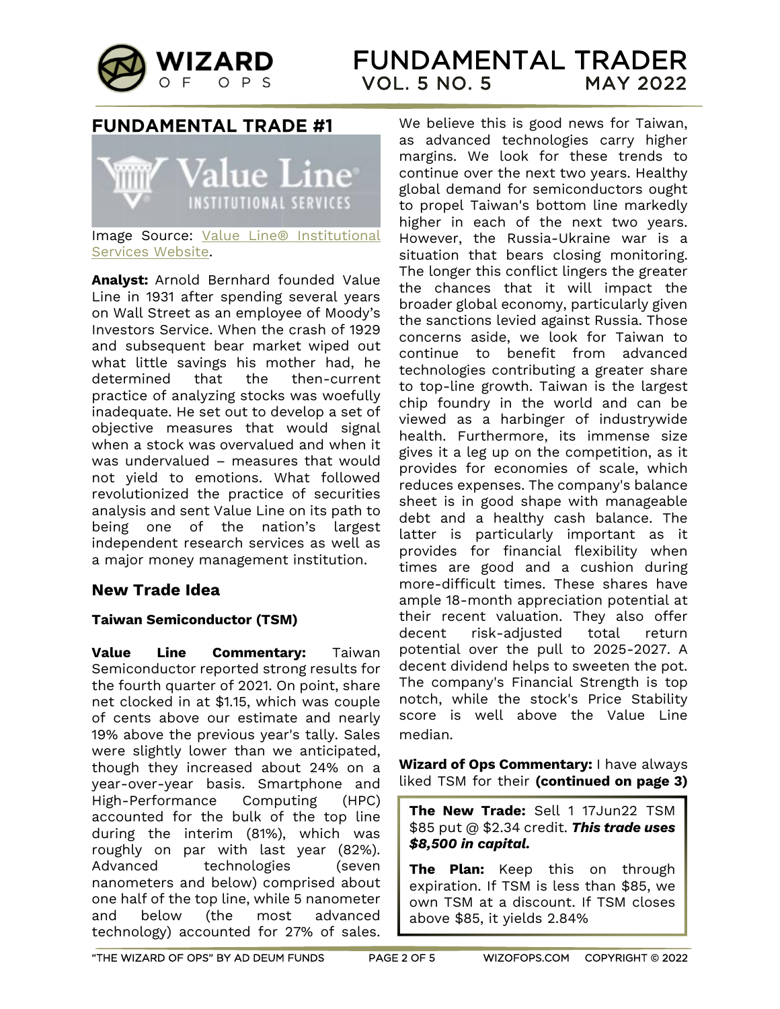

# <span id="page-1-0"></span>**FUNDAMENTAL TRADE #1**



Image Source: [Value Line® Institutional](https://www.valuelinepro.com/)  [Services Website.](https://www.valuelinepro.com/)

**Analyst:** Arnold Bernhard founded Value Line in 1931 after spending several years on Wall Street as an employee of Moody's Investors Service. When the crash of 1929 and subsequent bear market wiped out what little savings his mother had, he determined that the then-current practice of analyzing stocks was woefully inadequate. He set out to develop a set of objective measures that would signal when a stock was overvalued and when it was undervalued – measures that would not yield to emotions. What followed revolutionized the practice of securities analysis and sent Value Line on its path to being one of the nation's largest independent research services as well as a major money management institution.

# <span id="page-1-1"></span>**New Trade Idea**

# **Taiwan Semiconductor (TSM)**

**Value Line Commentary:** Taiwan Semiconductor reported strong results for the fourth quarter of 2021. On point, share net clocked in at \$1.15, which was couple of cents above our estimate and nearly 19% above the previous year's tally. Sales were slightly lower than we anticipated, though they increased about 24% on a year-over-year basis. Smartphone and High-Performance Computing (HPC) accounted for the bulk of the top line during the interim (81%), which was roughly on par with last year (82%). Advanced technologies (seven nanometers and below) comprised about one half of the top line, while 5 nanometer and below (the most advanced technology) accounted for 27% of sales. We believe this is good news for Taiwan, as advanced technologies carry higher margins. We look for these trends to continue over the next two years. Healthy global demand for semiconductors ought to propel Taiwan's bottom line markedly higher in each of the next two years. However, the Russia-Ukraine war is a situation that bears closing monitoring. The longer this conflict lingers the greater the chances that it will impact the broader global economy, particularly given the sanctions levied against Russia. Those concerns aside, we look for Taiwan to continue to benefit from advanced technologies contributing a greater share to top-line growth. Taiwan is the largest chip foundry in the world and can be viewed as a harbinger of industrywide health. Furthermore, its immense size gives it a leg up on the competition, as it provides for economies of scale, which reduces expenses. The company's balance sheet is in good shape with manageable debt and a healthy cash balance. The latter is particularly important as it provides for financial flexibility when times are good and a cushion during more-difficult times. These shares have ample 18-month appreciation potential at their recent valuation. They also offer decent risk-adjusted total return potential over the pull to 2025-2027. A decent dividend helps to sweeten the pot. The company's Financial Strength is top notch, while the stock's Price Stability score is well above the Value Line median.

**Wizard of Ops Commentary:** I have always liked TSM for their **(continued on page 3)** 

**The New Trade:** Sell 1 17Jun22 TSM \$85 put @ \$2.34 credit. *This trade uses \$8,500 in capital.*

**The Plan:** Keep this on through expiration. If TSM is less than \$85, we own TSM at a discount. If TSM closes above \$85, it yields 2.84%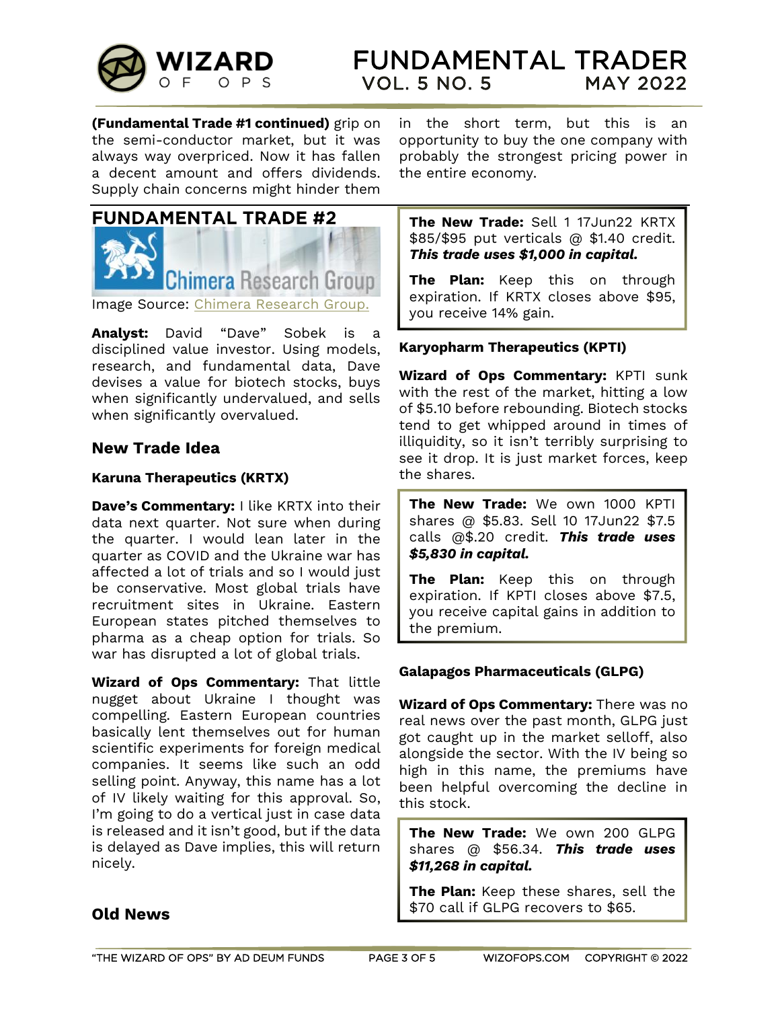

**(Fundamental Trade #1 continued)** grip on the semi-conductor market, but it was always way overpriced. Now it has fallen a decent amount and offers dividends. Supply chain concerns might hinder them

<span id="page-2-0"></span>

Image Source: [Chimera Research Group.](https://www.chimeraresearchgroup.com/)

**Analyst:** David "Dave" Sobek is a disciplined value investor. Using models, research, and fundamental data, Dave devises a value for biotech stocks, buys when significantly undervalued, and sells when significantly overvalued.

# <span id="page-2-1"></span>**New Trade Idea**

#### **Karuna Therapeutics (KRTX)**

**Dave's Commentary:** I like KRTX into their data next quarter. Not sure when during the quarter. I would lean later in the quarter as COVID and the Ukraine war has affected a lot of trials and so I would just be conservative. Most global trials have recruitment sites in Ukraine. Eastern European states pitched themselves to pharma as a cheap option for trials. So war has disrupted a lot of global trials.

**Wizard of Ops Commentary:** That little nugget about Ukraine I thought was compelling. Eastern European countries basically lent themselves out for human scientific experiments for foreign medical companies. It seems like such an odd selling point. Anyway, this name has a lot of IV likely waiting for this approval. So, I'm going to do a vertical just in case data is released and it isn't good, but if the data is delayed as Dave implies, this will return nicely.

#### in the short term, but this is an opportunity to buy the one company with probably the strongest pricing power in the entire economy.

**The New Trade:** Sell 1 17Jun22 KRTX \$85/\$95 put verticals @ \$1.40 credit. *This trade uses \$1,000 in capital.*

**The Plan:** Keep this on through expiration. If KRTX closes above \$95, you receive 14% gain.

#### **Karyopharm Therapeutics (KPTI)**

**Wizard of Ops Commentary:** KPTI sunk with the rest of the market, hitting a low of \$5.10 before rebounding. Biotech stocks tend to get whipped around in times of illiquidity, so it isn't terribly surprising to see it drop. It is just market forces, keep the shares.

**The New Trade:** We own 1000 KPTI shares @ \$5.83. Sell 10 17Jun22 \$7.5 calls @\$.20 credit. *This trade uses \$5,830 in capital.*

**The Plan:** Keep this on through expiration. If KPTI closes above \$7.5, you receive capital gains in addition to the premium.

#### **Galapagos Pharmaceuticals (GLPG)**

**Wizard of Ops Commentary:** There was no real news over the past month, GLPG just got caught up in the market selloff, also alongside the sector. With the IV being so high in this name, the premiums have been helpful overcoming the decline in this stock.

**The New Trade:** We own 200 GLPG shares @ \$56.34. *This trade uses \$11,268 in capital.*

**The Plan:** Keep these shares, sell the \$70 call if GLPG recovers to \$65.

# <span id="page-2-2"></span>**Old News**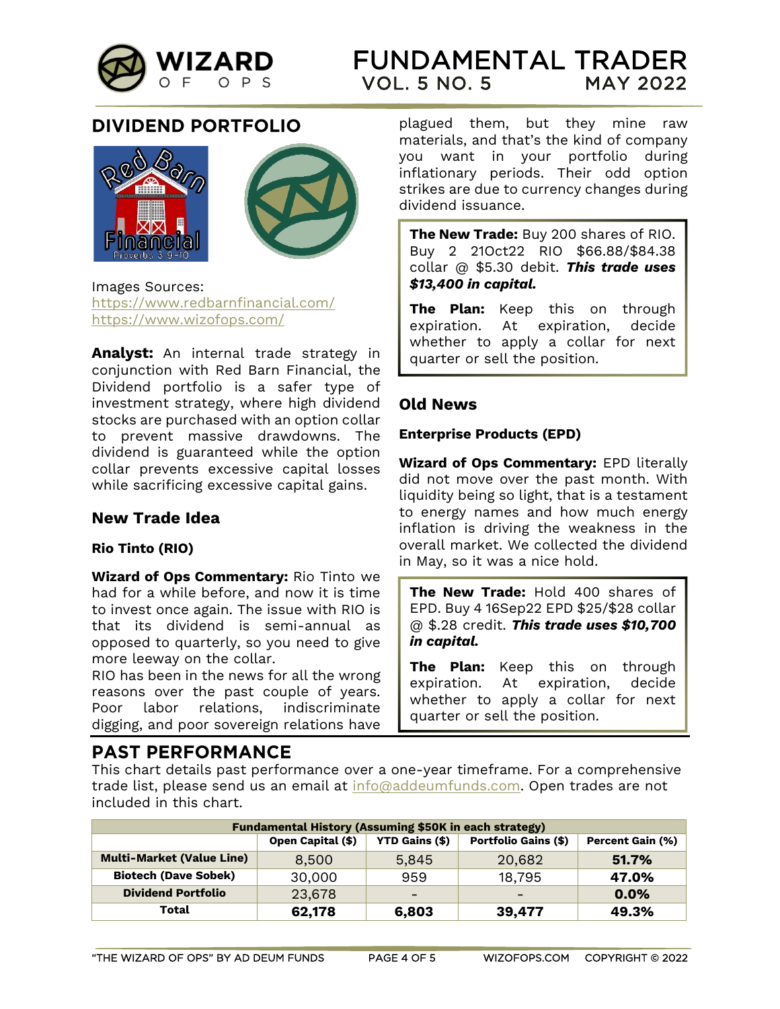

# <span id="page-3-0"></span>**DIVIDEND PORTFOLIO**





Images Sources: <https://www.redbarnfinancial.com/> <https://www.wizofops.com/>

**Analyst:** An internal trade strategy in conjunction with Red Barn Financial, the Dividend portfolio is a safer type of investment strategy, where high dividend stocks are purchased with an option collar to prevent massive drawdowns. The dividend is guaranteed while the option collar prevents excessive capital losses while sacrificing excessive capital gains.

# <span id="page-3-1"></span>**New Trade Idea**

#### **Rio Tinto (RIO)**

**Wizard of Ops Commentary:** Rio Tinto we had for a while before, and now it is time to invest once again. The issue with RIO is that its dividend is semi-annual as opposed to quarterly, so you need to give more leeway on the collar.

RIO has been in the news for all the wrong reasons over the past couple of years. Poor labor relations, indiscriminate digging, and poor sovereign relations have

# <span id="page-3-3"></span>**PAST PERFORMANCE**

plagued them, but they mine raw materials, and that's the kind of company you want in your portfolio during inflationary periods. Their odd option strikes are due to currency changes during dividend issuance.

**The New Trade:** Buy 200 shares of RIO. Buy 2 21Oct22 RIO \$66.88/\$84.38 collar @ \$5.30 debit. *This trade uses \$13,400 in capital.*

**The Plan:** Keep this on through expiration. At expiration, decide whether to apply a collar for next quarter or sell the position.

# <span id="page-3-2"></span>**Old News**

#### **Enterprise Products (EPD)**

**Wizard of Ops Commentary:** EPD literally did not move over the past month. With liquidity being so light, that is a testament to energy names and how much energy inflation is driving the weakness in the overall market. We collected the dividend in May, so it was a nice hold.

**The New Trade:** Hold 400 shares of EPD. Buy 4 16Sep22 EPD \$25/\$28 collar @ \$.28 credit. *This trade uses \$10,700 in capital.*

**The Plan:** Keep this on through expiration. At expiration, decide whether to apply a collar for next quarter or sell the position.

This chart details past performance over a one-year timeframe. For a comprehensive trade list, please send us an email at [info@addeumfunds.com.](mailto:info@addeumfunds.com) Open trades are not included in this chart.

| <b>Fundamental History (Assuming \$50K in each strategy)</b> |                   |                          |                             |                         |  |
|--------------------------------------------------------------|-------------------|--------------------------|-----------------------------|-------------------------|--|
|                                                              | Open Capital (\$) | <b>YTD Gains (\$)</b>    | <b>Portfolio Gains (\$)</b> | <b>Percent Gain (%)</b> |  |
| <b>Multi-Market (Value Line)</b>                             | 8.500             | 5.845                    | 20,682                      | 51.7%                   |  |
| <b>Biotech (Dave Sobek)</b>                                  | 30,000            | 959                      | 18,795                      | 47.0%                   |  |
| <b>Dividend Portfolio</b>                                    | 23,678            | $\overline{\phantom{0}}$ |                             | 0.0%                    |  |
| Total                                                        | 62,178            | 6,803                    | 39,477                      | 49.3%                   |  |